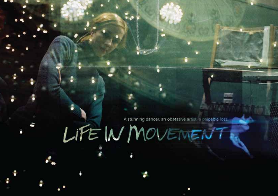A stunning dancer, an obsessive artist, a palpable loss,

# LIFE IN MOVEMENT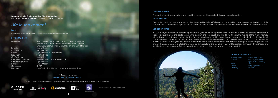**Screen Australia**, **South Australian Film Corporation** and **Tanja Liedtke Foundation** present a **Closer** production

### *Life in Movement*

#### **SALES**

Contact Closer Productions - closer@closerproductions.com.au

Director Bryan Mason Co-Director Sophie Hyde Producer Sophie Hyde Co-Producer **Bryan Mason** Cinematographer Bryan Mason<br>Editor Brvan Mason Composer<br>Post Sound

Featuring Tanja Liedtke, Solon Ulbrich, Kristina Chan, Paul White, Julian Crotti, Anton, Amelia Mcqueen, Theo Clinkard, Craig Bary, Joshua Tyler, Garry Stewart and Lloyd Newson Bryan Mason & Sophie Hyde Executive Producers Susan Mackinnon & Solon Ulbrich Bryan Mason<br>Di Tr!P Pete Smith, Tom Heuzenroeder & Adrian Medhurst

#### **KEY CAST & CREW**

A **Closer** production **www.closerproductions.com.au**

©2011 The South Australian Film Corporation, Adelaide Film Festival, Solon Ulbrich and Closer Productions

1











#### **ONE-LINE SYNOPSIS**

A portrait of an obsessive artist at work and the impact her life and death has on her collaborators.

#### **SHORT SYNOPSIS**

The sudden death of dancer/choreographer Tanja Liedtke, brings life into sharp focus. A film about moving creatively through life and loss, Life in Movement is a portrait of an obsessive artist at work and the impact her life and death has on her collaborators.

> *Ratio: 1.78* Language:

#### **LONGER SYNOPSIS**

In 2007 the Sydney Dance Company appointed 29-year-old choreographer Tanja Liedtke as their first new artistic director in 30 years. However before she could take up the position, she was struck and killed by a truck in the middle of the night. Admired internationally as a dancer and celebrated for her fresh choreographic voice, she was known as a dedicated artist, intelligent, dorky, funny and generous. 18 months after her death her collaborators embark on a world tour of her work, and in the process they must deal with their grief and explore the reasons for her death. Interspersed with intimate footage of her artistic process and previously unseen interviews, Life in Movement is a film about moving creatively through life and loss. Filmmakers Bryan Mason and Sophie Hyde give us a powerfully rendered take on art and artists, creativity and our own mortality.

#### **TECHNICAL INFORMATION**

*Running time: 79 mins and 56 mins Format: HDCAM , HDCAM-SR, DigiBeta (PAL & NTSC) Sound: Dolby Digital Stereo*

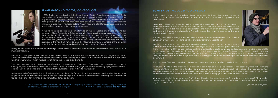

#### **BRYAN MASON** *– DIRECTOR/ CO-PRODUCER*

In 2004, Tanja was creating her first full-length show, *Twelfth Floor*, in Australia. Sol and Tanja flew me in to document the show for a week. After seeing the show go from rehearsals, to the stage and filming interviews with Tanja and the cast I got a strong sense that there was something great going on with this bunch. I am not a dance fan, per se, but Tanja's work was quite unlike any dance show I had seen before. *Twelfth Floor* and later *Construct* were more akin to narrative films than abstract movement showcases.

In the next 3 years as Tanja and Sol's star was on the rise, Sophie and I were growing our company, Closer Productions. Being friends with these guys it was always reassuring to see them pushing hard in the direction they wanted to go and inevitably our paths crossed time and time again. When Tanja got the job at Sydney Dance Company I think Sophie and I were astonished and yet somehow not surprised. It was exciting to have a big company with serious resources in the hands of Tanja, Sol and their team, it signified a changing of the guard in Australian Arts, everything seemed possible. It was a time of exciting change.

Taking the call to tell us of the accident and Tanja's death just few weeks later seemed surreal and like some sort of bad joke. So much promise, lost.

The media coverage of the accident was everywhere and the main thrust was 'we will never know what might have been', 'what would this unknown girl have contributed?' I knew upon reading these articles that we had to make a film. We had to tell Tanja's story, show how much incredible work Tanja and Sol had already made.

Tanja was a rigorous creator; she drove herself and her collaborators hard. The results of her tireless dedication were multi award winning, layered dance works, which told you a story. Tanja set the bar pretty high and when undertaking a project about someone like that, the challenge is to rise to a level that would reflect or do justice to your subject.

It's prudent then to see the effect this woman and her death had on those people closest to her, especially those with whom she made work. There were commonalities. Early on in interviews, people were so lucid about their feelings, what they wanted from life, what they had learnt, how they wanted to live. Later things felt messier, uneasier, as life got in the way and the petty desires and wants of everyone clashed. At the end, there was a relief, a letting go. Older, wiser, bruised... better?

So three and a half years after the accident we have completed the film and it's not been an easy one to make. It wasn't easy to get it funded, to delve into the pain of the loss, to sort through the 120 hours of personal archival footage or to tackle two topics, which are often shunned away from in film, dance and death.

> "…Life In Movement has become much more than a biography or even a tribute to Liedtke's unique character<br>and talent.... this film is a moment of triumph"<br>**\*\*\*\*\*** Patrick McDonald, **The Advertiser** *and talent.... this film is a moment of triumph"*

#### **SOPHIE HYDE** – *PRODUCER/ CO-DIRECTOR*

Tanja's death had such an intense impact on so many of us. It still resonates strongly. Her death shifted us. So much so, that as I write this the impact of it is still strong and powerful and unknowable.

On a personal level I felt connected to Tan. We were the same age, born just one month apart, and were both set to turn 30 the year she died. I'm now 33. We both made our work with our partners - Tanja with Sol (her creative coordinator) and me with Bryan (Director/co-producer and constant filmmaking collaborator). We both moved fast, wanting success and driving others toward it as well.

But now, I feel more like Tanja than I did when she died. In my better moments, I feel I took on some part of her, learnt something from her and grew somehow closer to her.

Her death has spun me around. I remember feeling insanely grateful for every moment and for a while Bryan and I made strong choices about wanting to be with our friends to spend time with them. I remember my 30th birthday as being a time of celebration, acute awareness and sadness, and wanting to say a lot to many people. But I also partly fell off the rails. I got lost a little emotionally, clasping for things, toying, and in trying to live every second of life I risked the things I cared about most. And then I found my way back. Through love, of course, my beautiful family, work, an intense drive to make things, and partly in making this film. I now feel stronger, braver, more vulnerable and more determined.

Tan and I were friends of course but not especially close. And this was the effect her death had one me.

Why was her death intense for so many? What was this voice that people spoke of? How did she create work? Why were her collaborators so fiercely loyal? To understand these things, we must understand who she was as a creator, what was she trying to say and how she said it.

*[continued over page]*

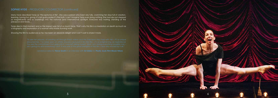#### **SOPHIE HYDE** – *PRODUCER/ CO-DIRECTOR [continued]*

Many have described Tanja as "the epitome of life". She was a person who lived very fully, cramming her days full of creation, learning, having fun, giving. It's not gushy praise it's the truth. I can't imagine Tanja ever doing nothing. She had also just stepped so magnificently and so surprisingly into the national (and international) spotlight. Everyone was waiting, standing at the precipice and ready…

Tanja died in that moment and so the impact was full of so much force. That's why this film is a mediation on death as much as a biography and exploration of a woman who made stunning work.

Showing the film to audiences so far, has been an absolute delight and I can't wait to share it more.

 *- Sundance selector Trevor Groth in an interview with Ed Gibbs for Plastic Souls Film+Music+More*

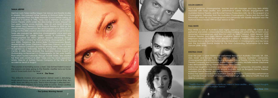#### **TANJA LIEDTKE**

German born Tanja Liedtke began her dance and theatre studies in Madrid. She pursued further training at Elmhurst Ballet School, and graduated from the Ballet Rambert School before taking up residence in Sydney in 1996. Tanja was a member of Australian Dance Theatre (ADT) under the directorship of Garry Stewart for four years, touring across Australia, Asia, UK and North America. She joined Lloyd Newson's DV8 Physical Theatre in 2003 for the award winning Channel Four film and European tour of The Cost of Living and the 2005 creation and international tour of Just for Show. Tanja also pursued her distinctive choreographic voice and was commissioned to create works across 4 continents. She choreographed for ADT's Ignition seasons (receiving Dance Australia Critic's Choice for most promising choreography in 1999 and 2000), Tasdance, De Anima Ballet Contemporaneo (Brazil), Akademie des Tanzes (Germany) Taipei Idea (Taiwan) and David Hughes Dance Company (Scotland) among others. She was also recognised by a Fellowship from The Australian Choreographic Centre. In 2006 Tanja received the Australian Dance Award for Outstanding Achievement in Choreography for her work Twelfth Floor which toured nationally through Mobile States. She created her final work construct in 2007. Tanja was the newly appointed Artistic Director of Sydney Dance Company at the time of her accidental death in August.

*"The surprise of stumbling across a fresh, fully-formed talent is one of the reasons we keep going to the theatre. Liedtke turns out to be one of those bolts from the blue."* 

#### **★★★★** The Times

*"This brilliantly incisive and perceptive dance work is disturbing, laugh-aloud funny and tragic. In turns and at the same time. As I write, tears are filling my eyes. That is how strongly it affected me then, now and, I expect, for a long while to come. [Tanja Liedtke] has created an extraordinary dance work for our times."*

 *- The Sydney Morning Herald*

7



#### **SOLON ULBRICH**

Sol is a performer, choreographer, teacher and arts manager and long term Artistic Associate with Tanja Liedtke. Sol's performance career features engagements with Australian Dance Theatre, and Ricochet Dance Productions (UK). He is the recipient of a Choreographic Fellowship from the Australian Choreographic Centre and the short film Restoration which he co-choreographed and performed with Narelle Benjamin won the National Dance Award 1999 for best dance on film.

#### **PAUL WHITE**

Paul White is one of Australia's most highly regarded dance artists. His career as a performer and artistic collaborator has included working with some of the art form's most renowned choreographers and directors such as Meryl Tankard, Lloyd Newson (DV8 Physical Theatre) and Garry Stewart (Australian Dance Theatre). Paul won the 2008 Helpmann Award for the Best Male dancer in a dance or theatre production, the 2010 Australian Dance Award for Outstanding Achievement in Choreography and has twice won the Australian Dance Award for the Most Outstanding Performance by a Male Dancer (2008, 2010).

#### **KRISTINA CHAN**

2008 for construct.

Over the past 11 years Kristina has performed throughout Australia, Canada, UK, USA, Asia, Israel and Europe. She has worked with numerous Australian companies, choreographers and directors including Australian Dance Theatre, Chunky Move, Sydney Theatre Company, and Tasdance, Stalker Theatre Company; Michelle Mahrer; Stephanie Lake; Bernadette Walong; Narelle Benjamin; Tanja Liedtke.

Kristina has taught for Australian and International dance companies, Universities, dance institutions and secondary schools around Australia, such as Bangarra Dance Theatre, Australian Dance Theatre, and Sydney Dance Company.

Kristina has been awarded two Australian Dance Awards for 'Outstanding performance by a Female Dancer' for both of Tanja Liedtke's full length works: 2006 for Twelfth Floor and

*"Twelfth Floor has introduced a significant talent in Tanja Liedtke… and inspired thoughts for a greater future for Australian dance."*

**-** *Real Time, 2006*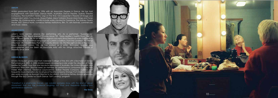#### **ANTON**

Anton graduated from QUT in 1996 with an Associate Degree in Dance. He has had engagements with DarcSwan, Dance North, Australian Dance Theatre, Sydney Theatre Company, The Australian Opera, Legs on the Wall, Kim Carpenter's Theatre Of Image and independent artists Troy Mundy, Shaun Parker, Meryl Tankard, Rowan Marchingo and Tanja Liedtke. His choreographic credits include works created for Tasdance, The Sydney Opera House, ADT, Dance North, numerous tertiary institutions, film, TV, arts festivals, commercials and music videos.

#### **JULIAN CROTTI**

Julian's work centres around the performing arts. As a performer: 'Superheroes' Stone/Castro '10, 'Black Marrow' Chunky Move '09, 'Tanja Liedtke's Twelfth Floor' '06/'10, 'Jet of Blood' Ignite '06. As an artist his original concepts drive theatrical works that seek to communicate in a common language our current condition ('Tom the Loneliest' No Strings Attached '09, 'I'm Still Here, Parts I-V' Country Arts SA '10, 'Put the Light on Me or The Trickle Down Economy' Lisbon '10). He has worked as a writer, filmmaker, teacher and photographer and has been an Associate Artist with No Strings Attached Theatre of Disability since 2004.

#### **AMELIA McQUEEN**

Amelia McQueen graduated from Adelaide College of the Arts with a Bachelor of Dance Performance in 2000. In 2004 Amelia began developing a role under the direction of Tanja Liedtke for Twelfth Floor that she has since performed in Australia, the United Kingdom and Germany 2006-2009. She has been an member for performance companies such as Tanz Atelier Wien (Vienna), Tasdance (Launceston), Stalker Theatre Company (Sydney) and frequently tours internationally for physical theatre company Strange Fruit (Melbourne). She also works annually as Assistant Director to Sol Ulbrich, mentoring tertiary dance graduates through The QL2 Centre for Youth Dance 'Soft Landing' program.

*"Construct is a small-scale marvel... (a) candid, complex show with the kind of clever movement that has the audience laughing out loud and frequently bursting into spontaneous applause. "*

*- The Times*

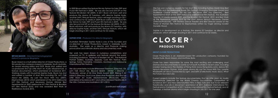

#### **BRYAN MASON** *- Director/Cinematographer/ Editor/Co-producer Biography*

Bryan Mason is a multi-skilled director of Closer Productions, a film production company based in Adelaide, South Australia. An award winning editor and DOP, Bryan shot, edited and co-produced *Shut Up Little Man! An Audio Misadventure* .a feature documentary which premiered at Sundance 2011. Working closely with his partner Sophie Hyde, Bryan has shot and edited a number of short films including *Ok, Let's Talk About Me* (2005), *My Last Ten Hours With You* (2007), *Elephantiasis* (2010) which premiered at the 2010 Melbourne Int'l Film Festival; and *Necessary Games* (Winner Best the USA, Canada and Australia in 2011/2012. Experimental at 2009 Melbourne Int'l Film Festival & Brooklyn Int'l Film Festival 2010) and was awarded Best Work at ReelDance Awards 2010.

In 2009 Bryan edited the feature film *My Tehran for Sale* (TIFF and Pusan film festivals in 2009). He was also Second Unit DP on the feature film *Broken Hill* (2009). In 2011 Bryan will shoot, edit and produce the drama *52 Tuesdays*, with director Sophie Hyde, another SAFC FilmLab feature, which will begin shooting in 2011 and continue for 52 weeks.In 2009 Bryan edited the feature film *My Tehran for Sale* (TIFF and Pusan film festivals in 2009). He was also Second Unit DP on the feature film *Broken Hill* (2009). In 2011 Bryan will shoot, edit and produce the drama *52 Tuesdays*, with director Sophie Hyde, another SAFC FilmLab feature, which will begin shooting in 2011 and continue for 52 weeks.

#### **SOPHIE HYDE** *- Producer/ Co-director Biography*

Australian filmmaker Sophie Hyde is one of the founders and co-directors of Closer Productions, based in Adelaide, South Australia. She works as a director and Producer making provocative and intimate drama and documentary work.

Her work has been shown in numerous compilations and screened on TV, in galleries and festivals around the world, including Sundance, Museum of Modern Art, NY, The National Portrait Gallery, Australia, Uppsala, Cork Film Festival, Palm Springs, Torino, Frameline, Cinedans, Montreal and Melbourne International Film Festival.

Her documentaries include *Bittersweet Freedom* (Director), *Ok, Let's Talk About Me*, *Beyond Beliefs* (Writer / Director / Producer), winner of IQ One World Award 2009, *Risking It All: Initial D* (Director), *Stunt Love* (Executive Producer) and *Shut Up Little Man! An Audio Misdadventure* (Producer), which premiered at Sundance 2011 and will be released theatrically in

*[continued next page]*

#### **ABOUT CLOSER PRODUCTIONS**

Closer Productions is an Adelaide-based film production company founded by Sophie Hyde, Bryan Mason, and Matthew Bate.

Closer has been responsible for some the most exciting and challenging short dramas and documentaries to come out of South Australia in recent years, including sneaker tossing doco *The Mystery of Flying Kicks* (www.flying-kicks.com), dance film triptych *Necessary Games*, short queer drama *My Last Ten Hours With You*, Lynette Woolworth art doco *Connected by Light*, and birth of electronic music doco, *What the Future Sounded Like*.

Current projects include the feature documentaries *Shut Up Little Man! An Audio Misadventure* (selected for the World Cinema Documentary Competition at Sundance 2011 and New Directors/New Films in New York and due to be released theatrically) and *Life in Movement* (premiered at 2011 Adelaide International Film Festival and in Competition at 2011 Sydney International Film Festival Festival), and *52 Tuesdays*, a feature drama which begins shooting in July 2011 for one year.

She has won numerous awards for her short films including Sydney Mardi Gras Best Short Film and the Melbourne Queer Film Festival's Emerging Filmmaker Award and Audience Choice Award for My Last Ten Hours With You (Director), Best Experimental Short at the 2009 Melbourne International Film Festival, the Australian Teacher Of Media awards 2009 and the Brooklyn Film Festival 2010 and Best Work at the Reeldance awards 2010 for the short dance triptych Necessary Games (Driector/Producer), with Restless Dance Theatre and Best Director award at the World of Women Film Festival for Elephantiasis written by Vogel winning novelist Danielle Wood.

Sophie is in development on a feature, the drama 52 Tuesdays, as director and producer, which will begin shooting in 2011 and continue for 52 weeks.

# **CLOSER® PRODUCTIONS**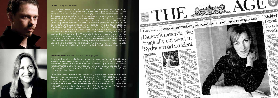



#### **DJ TR!P –** *Composer Biography*

DJ TR!P is a multi-award winning producer, composer & performer of electronic music. Over the past 10 years he has built an impressive repertoire of live compositions for his club sets, a variety of high profile contemporary theatre, dance & film productions, as well as for festival openings, launches & major cultural events. As a Live Performing Act & DJ he has played at numerous national & international venues, festivals & events including The Tank (New York), Super Deluxe (Tokyo), Game On (from the Barbican Art Gallery), The Famous Spielgeltent, Ten Days On The Island, Mona Foma, Sydney Opera House, Adelaide Festival, Big Day Out, Brisbane Powerhouse, Falls Festival, Brisbane Festival, Next Wave, This Is Not Art, Electro Fringe, Adelaide Fringe, Adelaide Cabaret Festival & the Australasian Computer Music Conference. As a composer he has written for companies including the ABC, Tanja Liedtke, State Theatre of SA, Vitalstatistix, Federation Square, Insite Arts, The Australian Choreographic Centre, Brink Productions, Australian Dance Theatre, Windmill, Adelaide Fringe, Come Out, Tasdance & Restless Dance Theatre. Recent scores include the multi-award winning dance film *Necessary Games* (Restless Dance Theatre & Closer Productions) & *Life In Movement* (Closer Productions). He loves collaboration, working with directors and adapting to different art forms.

#### **SUSAN MacKINNON –** *Executive Producer Biography*

Susan MacKinnon has worked as an independent producer for more than 20 years, winning multiple awards and international acclaim for her films. Susan is a passionate champion of new and innovative filmmaking, and has many credits including '*4*', *Global Haywire*, *Honeybee Blues*, *The Oasis*, *Over My Dead Body*, *In The Company of Actors*, *Hungry For Freedom*, *Fetch*, *Eternity*, *Loaded - The Gun Lovers and Men And Their Sheds*.

Susan is Executive Director of the Documentary Australia Foundation and a Board Director of the South Australian Film Corporation. From 1997 - 2005 Susan was the documentary Investment Manager at the Film Finance Corporation where she assisted filmmakers in financing their documentaries. While being a tireless advocate for Australian documentaries, she helped finance over 400 films which included *Donkey In Lahore*, *Wedding In Ramallah*, *The Inheritance - A Fisherman's Story*, *Land Mines A Love Story* and *Much Ado About Something*.

13



to payment of

of Nick Cave